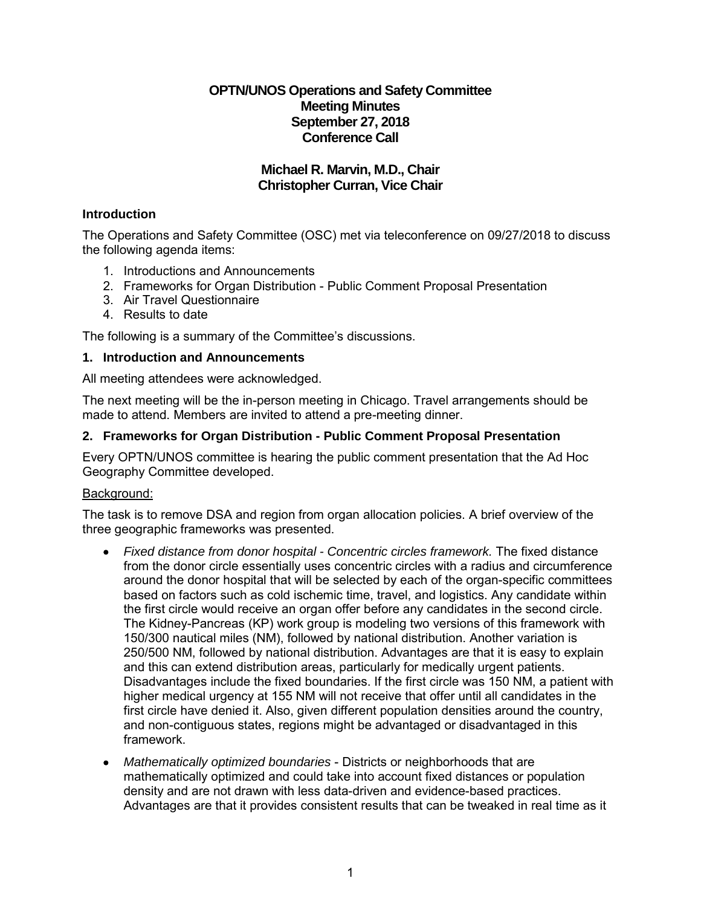# **OPTN/UNOS Operations and Safety Committee Meeting Minutes September 27, 2018 Conference Call**

# **Michael R. Marvin, M.D., Chair Christopher Curran, Vice Chair**

# **Introduction**

The Operations and Safety Committee (OSC) met via teleconference on 09/27/2018 to discuss the following agenda items:

- 1. Introductions and Announcements
- 2. Frameworks for Organ Distribution Public Comment Proposal Presentation
- 3. Air Travel Questionnaire
- 4. Results to date

The following is a summary of the Committee's discussions.

# **1. Introduction and Announcements**

All meeting attendees were acknowledged.

The next meeting will be the in-person meeting in Chicago. Travel arrangements should be made to attend. Members are invited to attend a pre-meeting dinner.

# **2. Frameworks for Organ Distribution - Public Comment Proposal Presentation**

Every OPTN/UNOS committee is hearing the public comment presentation that the Ad Hoc Geography Committee developed.

# Background:

The task is to remove DSA and region from organ allocation policies. A brief overview of the three geographic frameworks was presented.

- *Fixed distance from donor hospital - Concentric circles framework.* The fixed distance from the donor circle essentially uses concentric circles with a radius and circumference around the donor hospital that will be selected by each of the organ-specific committees based on factors such as cold ischemic time, travel, and logistics. Any candidate within the first circle would receive an organ offer before any candidates in the second circle. The Kidney-Pancreas (KP) work group is modeling two versions of this framework with 150/300 nautical miles (NM), followed by national distribution. Another variation is 250/500 NM, followed by national distribution. Advantages are that it is easy to explain and this can extend distribution areas, particularly for medically urgent patients. Disadvantages include the fixed boundaries. If the first circle was 150 NM, a patient with higher medical urgency at 155 NM will not receive that offer until all candidates in the first circle have denied it. Also, given different population densities around the country, and non-contiguous states, regions might be advantaged or disadvantaged in this framework.
- *Mathematically optimized boundaries* Districts or neighborhoods that are mathematically optimized and could take into account fixed distances or population density and are not drawn with less data-driven and evidence-based practices. Advantages are that it provides consistent results that can be tweaked in real time as it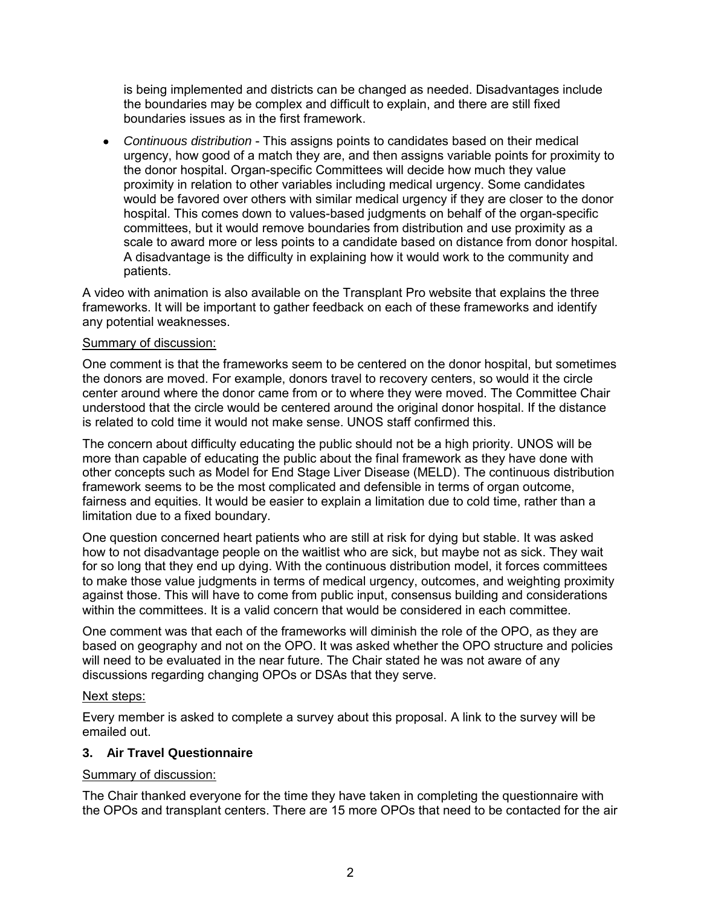is being implemented and districts can be changed as needed. Disadvantages include the boundaries may be complex and difficult to explain, and there are still fixed boundaries issues as in the first framework.

 *Continuous distribution* - This assigns points to candidates based on their medical urgency, how good of a match they are, and then assigns variable points for proximity to the donor hospital. Organ-specific Committees will decide how much they value proximity in relation to other variables including medical urgency. Some candidates would be favored over others with similar medical urgency if they are closer to the donor hospital. This comes down to values-based judgments on behalf of the organ-specific committees, but it would remove boundaries from distribution and use proximity as a scale to award more or less points to a candidate based on distance from donor hospital. A disadvantage is the difficulty in explaining how it would work to the community and patients.

A video with animation is also available on the Transplant Pro website that explains the three frameworks. It will be important to gather feedback on each of these frameworks and identify any potential weaknesses.

# Summary of discussion:

One comment is that the frameworks seem to be centered on the donor hospital, but sometimes the donors are moved. For example, donors travel to recovery centers, so would it the circle center around where the donor came from or to where they were moved. The Committee Chair understood that the circle would be centered around the original donor hospital. If the distance is related to cold time it would not make sense. UNOS staff confirmed this.

The concern about difficulty educating the public should not be a high priority. UNOS will be more than capable of educating the public about the final framework as they have done with other concepts such as Model for End Stage Liver Disease (MELD). The continuous distribution framework seems to be the most complicated and defensible in terms of organ outcome, fairness and equities. It would be easier to explain a limitation due to cold time, rather than a limitation due to a fixed boundary.

One question concerned heart patients who are still at risk for dying but stable. It was asked how to not disadvantage people on the waitlist who are sick, but maybe not as sick. They wait for so long that they end up dying. With the continuous distribution model, it forces committees to make those value judgments in terms of medical urgency, outcomes, and weighting proximity against those. This will have to come from public input, consensus building and considerations within the committees. It is a valid concern that would be considered in each committee.

One comment was that each of the frameworks will diminish the role of the OPO, as they are based on geography and not on the OPO. It was asked whether the OPO structure and policies will need to be evaluated in the near future. The Chair stated he was not aware of any discussions regarding changing OPOs or DSAs that they serve.

#### Next steps:

Every member is asked to complete a survey about this proposal. A link to the survey will be emailed out.

# **3. Air Travel Questionnaire**

#### Summary of discussion:

The Chair thanked everyone for the time they have taken in completing the questionnaire with the OPOs and transplant centers. There are 15 more OPOs that need to be contacted for the air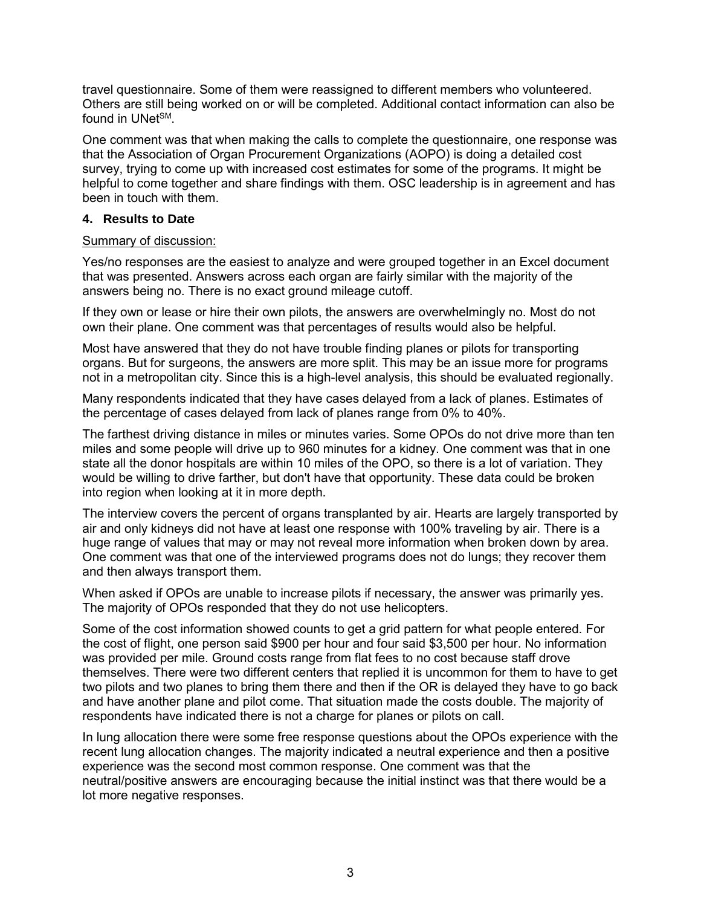travel questionnaire. Some of them were reassigned to different members who volunteered. Others are still being worked on or will be completed. Additional contact information can also be found in UNet<sup>SM</sup>

One comment was that when making the calls to complete the questionnaire, one response was that the Association of Organ Procurement Organizations (AOPO) is doing a detailed cost survey, trying to come up with increased cost estimates for some of the programs. It might be helpful to come together and share findings with them. OSC leadership is in agreement and has been in touch with them.

### **4. Results to Date**

### Summary of discussion:

Yes/no responses are the easiest to analyze and were grouped together in an Excel document that was presented. Answers across each organ are fairly similar with the majority of the answers being no. There is no exact ground mileage cutoff.

If they own or lease or hire their own pilots, the answers are overwhelmingly no. Most do not own their plane. One comment was that percentages of results would also be helpful.

Most have answered that they do not have trouble finding planes or pilots for transporting organs. But for surgeons, the answers are more split. This may be an issue more for programs not in a metropolitan city. Since this is a high-level analysis, this should be evaluated regionally.

Many respondents indicated that they have cases delayed from a lack of planes. Estimates of the percentage of cases delayed from lack of planes range from 0% to 40%.

The farthest driving distance in miles or minutes varies. Some OPOs do not drive more than ten miles and some people will drive up to 960 minutes for a kidney. One comment was that in one state all the donor hospitals are within 10 miles of the OPO, so there is a lot of variation. They would be willing to drive farther, but don't have that opportunity. These data could be broken into region when looking at it in more depth.

The interview covers the percent of organs transplanted by air. Hearts are largely transported by air and only kidneys did not have at least one response with 100% traveling by air. There is a huge range of values that may or may not reveal more information when broken down by area. One comment was that one of the interviewed programs does not do lungs; they recover them and then always transport them.

When asked if OPOs are unable to increase pilots if necessary, the answer was primarily yes. The majority of OPOs responded that they do not use helicopters.

Some of the cost information showed counts to get a grid pattern for what people entered. For the cost of flight, one person said \$900 per hour and four said \$3,500 per hour. No information was provided per mile. Ground costs range from flat fees to no cost because staff drove themselves. There were two different centers that replied it is uncommon for them to have to get two pilots and two planes to bring them there and then if the OR is delayed they have to go back and have another plane and pilot come. That situation made the costs double. The majority of respondents have indicated there is not a charge for planes or pilots on call.

In lung allocation there were some free response questions about the OPOs experience with the recent lung allocation changes. The majority indicated a neutral experience and then a positive experience was the second most common response. One comment was that the neutral/positive answers are encouraging because the initial instinct was that there would be a lot more negative responses.